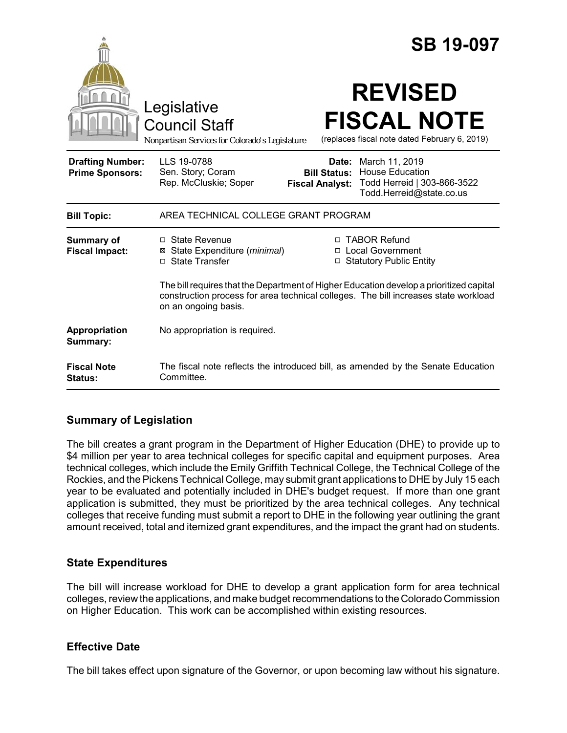|                                                   | <b>SB 19-097</b>                                                                                                                                                                                                           |  |
|---------------------------------------------------|----------------------------------------------------------------------------------------------------------------------------------------------------------------------------------------------------------------------------|--|
|                                                   | <b>REVISED</b><br>Legislative<br><b>FISCAL NOTE</b><br><b>Council Staff</b><br>(replaces fiscal note dated February 6, 2019)<br>Nonpartisan Services for Colorado's Legislature                                            |  |
| <b>Drafting Number:</b><br><b>Prime Sponsors:</b> | LLS 19-0788<br>March 11, 2019<br>Date:<br><b>House Education</b><br>Sen. Story; Coram<br><b>Bill Status:</b><br>Rep. McCluskie; Soper<br>Todd Herreid   303-866-3522<br><b>Fiscal Analyst:</b><br>Todd.Herreid@state.co.us |  |
| <b>Bill Topic:</b>                                | AREA TECHNICAL COLLEGE GRANT PROGRAM                                                                                                                                                                                       |  |
| Summary of<br><b>Fiscal Impact:</b>               | □ TABOR Refund<br>$\Box$ State Revenue<br>State Expenditure (minimal)<br>□ Local Government<br>⊠<br>□ State Transfer<br>□ Statutory Public Entity                                                                          |  |
|                                                   | The bill requires that the Department of Higher Education develop a prioritized capital<br>construction process for area technical colleges. The bill increases state workload<br>on an ongoing basis.                     |  |
| Appropriation<br>Summary:                         | No appropriation is required.                                                                                                                                                                                              |  |
| <b>Fiscal Note</b><br><b>Status:</b>              | The fiscal note reflects the introduced bill, as amended by the Senate Education<br>Committee.                                                                                                                             |  |

## **Summary of Legislation**

The bill creates a grant program in the Department of Higher Education (DHE) to provide up to \$4 million per year to area technical colleges for specific capital and equipment purposes. Area technical colleges, which include the Emily Griffith Technical College, the Technical College of the Rockies, and the Pickens Technical College, may submit grant applications to DHE by July 15 each year to be evaluated and potentially included in DHE's budget request. If more than one grant application is submitted, they must be prioritized by the area technical colleges. Any technical colleges that receive funding must submit a report to DHE in the following year outlining the grant amount received, total and itemized grant expenditures, and the impact the grant had on students.

### **State Expenditures**

The bill will increase workload for DHE to develop a grant application form for area technical colleges, review the applications, and make budget recommendations to the Colorado Commission on Higher Education. This work can be accomplished within existing resources.

### **Effective Date**

The bill takes effect upon signature of the Governor, or upon becoming law without his signature.